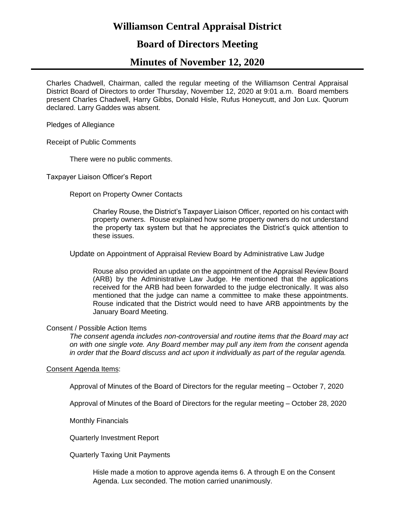# **Williamson Central Appraisal District**

# **Board of Directors Meeting**

# **Minutes of November 12, 2020**

Charles Chadwell, Chairman, called the regular meeting of the Williamson Central Appraisal District Board of Directors to order Thursday, November 12, 2020 at 9:01 a.m. Board members present Charles Chadwell, Harry Gibbs, Donald Hisle, Rufus Honeycutt, and Jon Lux. Quorum declared. Larry Gaddes was absent.

Pledges of Allegiance

Receipt of Public Comments

There were no public comments.

Taxpayer Liaison Officer's Report

Report on Property Owner Contacts

Charley Rouse, the District's Taxpayer Liaison Officer, reported on his contact with property owners. Rouse explained how some property owners do not understand the property tax system but that he appreciates the District's quick attention to these issues.

Update on Appointment of Appraisal Review Board by Administrative Law Judge

Rouse also provided an update on the appointment of the Appraisal Review Board (ARB) by the Administrative Law Judge. He mentioned that the applications received for the ARB had been forwarded to the judge electronically. It was also mentioned that the judge can name a committee to make these appointments. Rouse indicated that the District would need to have ARB appointments by the January Board Meeting.

### Consent / Possible Action Items

*The consent agenda includes non-controversial and routine items that the Board may act on with one single vote. Any Board member may pull any item from the consent agenda in order that the Board discuss and act upon it individually as part of the regular agenda.*

### Consent Agenda Items:

Approval of Minutes of the Board of Directors for the regular meeting – October 7, 2020

Approval of Minutes of the Board of Directors for the regular meeting – October 28, 2020

Monthly Financials

Quarterly Investment Report

Quarterly Taxing Unit Payments

Hisle made a motion to approve agenda items 6. A through E on the Consent Agenda. Lux seconded. The motion carried unanimously.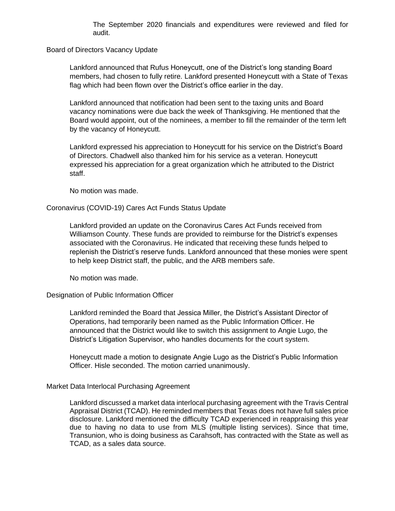The September 2020 financials and expenditures were reviewed and filed for audit.

Board of Directors Vacancy Update

Lankford announced that Rufus Honeycutt, one of the District's long standing Board members, had chosen to fully retire. Lankford presented Honeycutt with a State of Texas flag which had been flown over the District's office earlier in the day.

Lankford announced that notification had been sent to the taxing units and Board vacancy nominations were due back the week of Thanksgiving. He mentioned that the Board would appoint, out of the nominees, a member to fill the remainder of the term left by the vacancy of Honeycutt.

Lankford expressed his appreciation to Honeycutt for his service on the District's Board of Directors. Chadwell also thanked him for his service as a veteran. Honeycutt expressed his appreciation for a great organization which he attributed to the District staff.

No motion was made.

#### Coronavirus (COVID-19) Cares Act Funds Status Update

Lankford provided an update on the Coronavirus Cares Act Funds received from Williamson County. These funds are provided to reimburse for the District's expenses associated with the Coronavirus. He indicated that receiving these funds helped to replenish the District's reserve funds. Lankford announced that these monies were spent to help keep District staff, the public, and the ARB members safe.

No motion was made.

### Designation of Public Information Officer

Lankford reminded the Board that Jessica Miller, the District's Assistant Director of Operations, had temporarily been named as the Public Information Officer. He announced that the District would like to switch this assignment to Angie Lugo, the District's Litigation Supervisor, who handles documents for the court system.

Honeycutt made a motion to designate Angie Lugo as the District's Public Information Officer. Hisle seconded. The motion carried unanimously.

#### Market Data Interlocal Purchasing Agreement

Lankford discussed a market data interlocal purchasing agreement with the Travis Central Appraisal District (TCAD). He reminded members that Texas does not have full sales price disclosure. Lankford mentioned the difficulty TCAD experienced in reappraising this year due to having no data to use from MLS (multiple listing services). Since that time, Transunion, who is doing business as Carahsoft, has contracted with the State as well as TCAD, as a sales data source.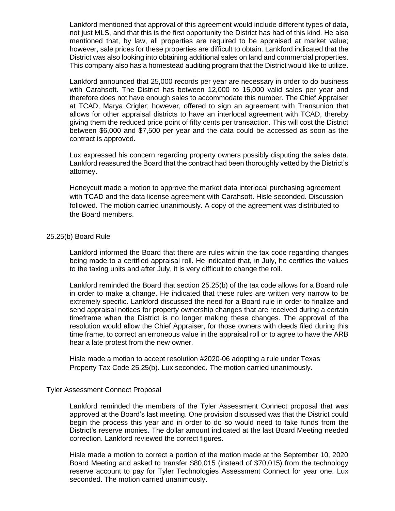Lankford mentioned that approval of this agreement would include different types of data, not just MLS, and that this is the first opportunity the District has had of this kind. He also mentioned that, by law, all properties are required to be appraised at market value; however, sale prices for these properties are difficult to obtain. Lankford indicated that the District was also looking into obtaining additional sales on land and commercial properties. This company also has a homestead auditing program that the District would like to utilize.

Lankford announced that 25,000 records per year are necessary in order to do business with Carahsoft. The District has between 12,000 to 15,000 valid sales per year and therefore does not have enough sales to accommodate this number. The Chief Appraiser at TCAD, Marya Crigler; however, offered to sign an agreement with Transunion that allows for other appraisal districts to have an interlocal agreement with TCAD, thereby giving them the reduced price point of fifty cents per transaction. This will cost the District between \$6,000 and \$7,500 per year and the data could be accessed as soon as the contract is approved.

Lux expressed his concern regarding property owners possibly disputing the sales data. Lankford reassured the Board that the contract had been thoroughly vetted by the District's attorney.

Honeycutt made a motion to approve the market data interlocal purchasing agreement with TCAD and the data license agreement with Carahsoft. Hisle seconded. Discussion followed. The motion carried unanimously. A copy of the agreement was distributed to the Board members.

### 25.25(b) Board Rule

Lankford informed the Board that there are rules within the tax code regarding changes being made to a certified appraisal roll. He indicated that, in July, he certifies the values to the taxing units and after July, it is very difficult to change the roll.

Lankford reminded the Board that section 25.25(b) of the tax code allows for a Board rule in order to make a change. He indicated that these rules are written very narrow to be extremely specific. Lankford discussed the need for a Board rule in order to finalize and send appraisal notices for property ownership changes that are received during a certain timeframe when the District is no longer making these changes. The approval of the resolution would allow the Chief Appraiser, for those owners with deeds filed during this time frame, to correct an erroneous value in the appraisal roll or to agree to have the ARB hear a late protest from the new owner.

Hisle made a motion to accept resolution #2020-06 adopting a rule under Texas Property Tax Code 25.25(b). Lux seconded. The motion carried unanimously.

#### Tyler Assessment Connect Proposal

Lankford reminded the members of the Tyler Assessment Connect proposal that was approved at the Board's last meeting. One provision discussed was that the District could begin the process this year and in order to do so would need to take funds from the District's reserve monies. The dollar amount indicated at the last Board Meeting needed correction. Lankford reviewed the correct figures.

Hisle made a motion to correct a portion of the motion made at the September 10, 2020 Board Meeting and asked to transfer \$80,015 (instead of \$70,015) from the technology reserve account to pay for Tyler Technologies Assessment Connect for year one. Lux seconded. The motion carried unanimously.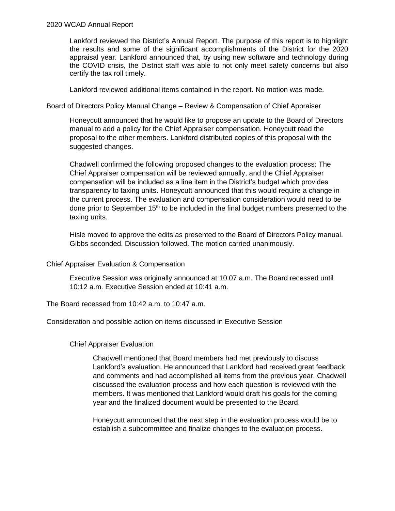# 2020 WCAD Annual Report

Lankford reviewed the District's Annual Report. The purpose of this report is to highlight the results and some of the significant accomplishments of the District for the 2020 appraisal year. Lankford announced that, by using new software and technology during the COVID crisis, the District staff was able to not only meet safety concerns but also certify the tax roll timely.

Lankford reviewed additional items contained in the report. No motion was made.

Board of Directors Policy Manual Change – Review & Compensation of Chief Appraiser

Honeycutt announced that he would like to propose an update to the Board of Directors manual to add a policy for the Chief Appraiser compensation. Honeycutt read the proposal to the other members. Lankford distributed copies of this proposal with the suggested changes.

Chadwell confirmed the following proposed changes to the evaluation process: The Chief Appraiser compensation will be reviewed annually, and the Chief Appraiser compensation will be included as a line item in the District's budget which provides transparency to taxing units. Honeycutt announced that this would require a change in the current process. The evaluation and compensation consideration would need to be done prior to September 15<sup>th</sup> to be included in the final budget numbers presented to the taxing units.

Hisle moved to approve the edits as presented to the Board of Directors Policy manual. Gibbs seconded. Discussion followed. The motion carried unanimously.

### Chief Appraiser Evaluation & Compensation

Executive Session was originally announced at 10:07 a.m. The Board recessed until 10:12 a.m. Executive Session ended at 10:41 a.m.

The Board recessed from 10:42 a.m. to 10:47 a.m.

Consideration and possible action on items discussed in Executive Session

Chief Appraiser Evaluation

Chadwell mentioned that Board members had met previously to discuss Lankford's evaluation. He announced that Lankford had received great feedback and comments and had accomplished all items from the previous year. Chadwell discussed the evaluation process and how each question is reviewed with the members. It was mentioned that Lankford would draft his goals for the coming year and the finalized document would be presented to the Board.

Honeycutt announced that the next step in the evaluation process would be to establish a subcommittee and finalize changes to the evaluation process.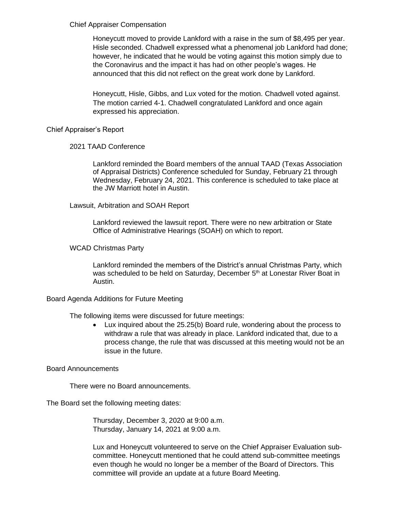## Chief Appraiser Compensation

Honeycutt moved to provide Lankford with a raise in the sum of \$8,495 per year. Hisle seconded. Chadwell expressed what a phenomenal job Lankford had done; however, he indicated that he would be voting against this motion simply due to the Coronavirus and the impact it has had on other people's wages. He announced that this did not reflect on the great work done by Lankford.

Honeycutt, Hisle, Gibbs, and Lux voted for the motion. Chadwell voted against. The motion carried 4-1. Chadwell congratulated Lankford and once again expressed his appreciation.

# Chief Appraiser's Report

# 2021 TAAD Conference

Lankford reminded the Board members of the annual TAAD (Texas Association of Appraisal Districts) Conference scheduled for Sunday, February 21 through Wednesday, February 24, 2021. This conference is scheduled to take place at the JW Marriott hotel in Austin.

# Lawsuit, Arbitration and SOAH Report

Lankford reviewed the lawsuit report. There were no new arbitration or State Office of Administrative Hearings (SOAH) on which to report.

# WCAD Christmas Party

Lankford reminded the members of the District's annual Christmas Party, which was scheduled to be held on Saturday, December 5<sup>th</sup> at Lonestar River Boat in Austin.

### Board Agenda Additions for Future Meeting

The following items were discussed for future meetings:

• Lux inquired about the 25.25(b) Board rule, wondering about the process to withdraw a rule that was already in place. Lankford indicated that, due to a process change, the rule that was discussed at this meeting would not be an issue in the future.

## Board Announcements

There were no Board announcements.

The Board set the following meeting dates:

Thursday, December 3, 2020 at 9:00 a.m. Thursday, January 14, 2021 at 9:00 a.m.

Lux and Honeycutt volunteered to serve on the Chief Appraiser Evaluation subcommittee. Honeycutt mentioned that he could attend sub-committee meetings even though he would no longer be a member of the Board of Directors. This committee will provide an update at a future Board Meeting.